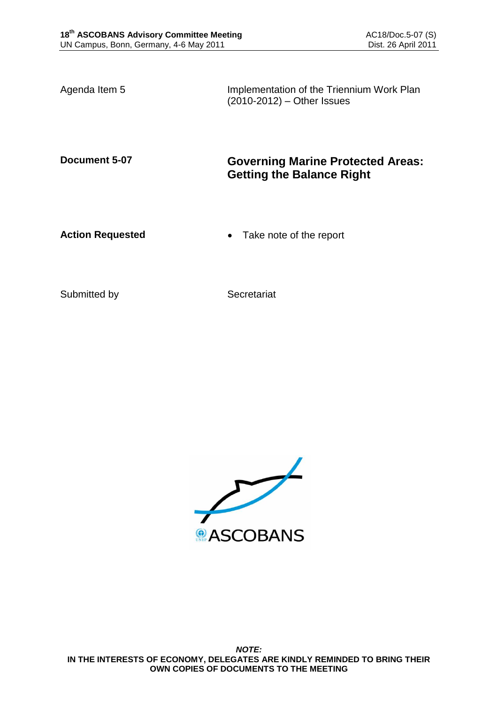Agenda Item 5 **Implementation of the Triennium Work Plan** (2010-2012) – Other Issues

# **Document 5-07 Governing Marine Protected Areas: Getting the Balance Right**

**Action Requested • Take note of the report** 

Submitted by Secretariat

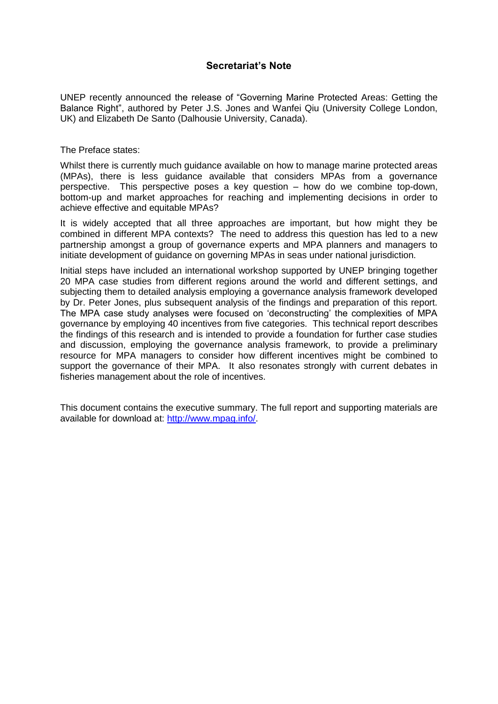# **Secretariat's Note**

UNEP recently announced the release of "Governing Marine Protected Areas: Getting the Balance Right", authored by Peter J.S. Jones and Wanfei Qiu (University College London, UK) and Elizabeth De Santo (Dalhousie University, Canada).

The Preface states:

Whilst there is currently much guidance available on how to manage marine protected areas (MPAs), there is less guidance available that considers MPAs from a governance perspective. This perspective poses a key question – how do we combine top-down, bottom-up and market approaches for reaching and implementing decisions in order to achieve effective and equitable MPAs?

It is widely accepted that all three approaches are important, but how might they be combined in different MPA contexts? The need to address this question has led to a new partnership amongst a group of governance experts and MPA planners and managers to initiate development of guidance on governing MPAs in seas under national jurisdiction.

Initial steps have included an international workshop supported by UNEP bringing together 20 MPA case studies from different regions around the world and different settings, and subjecting them to detailed analysis employing a governance analysis framework developed by Dr. Peter Jones, plus subsequent analysis of the findings and preparation of this report. The MPA case study analyses were focused on "deconstructing" the complexities of MPA governance by employing 40 incentives from five categories. This technical report describes the findings of this research and is intended to provide a foundation for further case studies and discussion, employing the governance analysis framework, to provide a preliminary resource for MPA managers to consider how different incentives might be combined to support the governance of their MPA. It also resonates strongly with current debates in fisheries management about the role of incentives.

This document contains the executive summary. The full report and supporting materials are available for download at: [http://www.mpag.info/.](http://www.mpag.info/)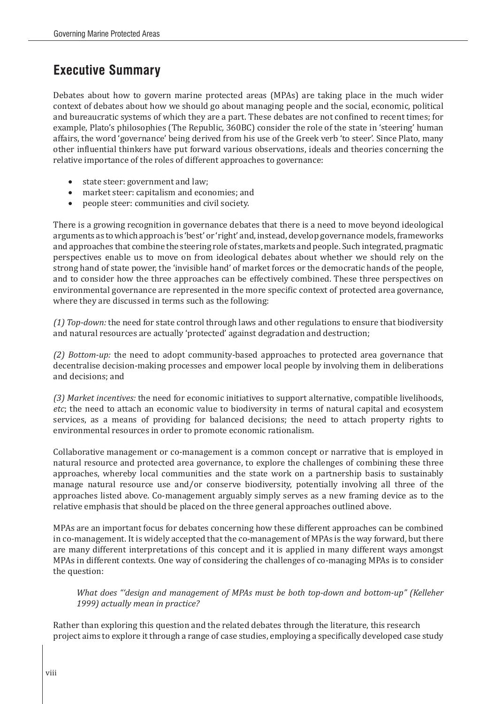# **Executive Summary**

Debates about how to govern marine protected areas (MPAs) are taking place in the much wider context of debates about how we should go about managing people and the social, economic, political and bureaucratic systems of which they are a part. These debates are not confined to recent times; for example, Plato's philosophies (The Republic*,* 360BC) consider the role of the state in 'steering' human affairs, the word 'governance' being derived from his use of the Greek verb 'to steer'. Since Plato, many other influential thinkers have put forward various observations, ideals and theories concerning the relative importance of the roles of different approaches to governance:

- state steer: government and law;<br>• market steer: canitalism and ecor
- market steer: capitalism and economies; and
- • people steer: communities and civil society.

There is a growing recognition in governance debates that there is a need to move beyond ideological arguments as to which approach is 'best' or 'right' and, instead, develop governance models, frameworks and approaches that combine the steering role of states, markets and people. Such integrated, pragmatic perspectives enable us to move on from ideological debates about whether we should rely on the strong hand of state power, the 'invisible hand' of market forces or the democratic hands of the people, and to consider how the three approaches can be effectively combined. These three perspectives on environmental governance are represented in the more specific context of protected area governance, where they are discussed in terms such as the following:

*(1) Top-down:* the need for state control through laws and other regulations to ensure that biodiversity and natural resources are actually 'protected' against degradation and destruction;

*(2) Bottom-up:* the need to adopt community-based approaches to protected area governance that decentralise decision-making processes and empower local people by involving them in deliberations and decisions; and

*(3) Market incentives:* the need for economic initiatives to support alternative, compatible livelihoods, *etc*; the need to attach an economic value to biodiversity in terms of natural capital and ecosystem services, as a means of providing for balanced decisions; the need to attach property rights to environmental resources in order to promote economic rationalism.

Collaborative management or co-management is a common concept or narrative that is employed in natural resource and protected area governance, to explore the challenges of combining these three approaches, whereby local communities and the state work on a partnership basis to sustainably manage natural resource use and/or conserve biodiversity, potentially involving all three of the approaches listed above. Co-management arguably simply serves as a new framing device as to the relative emphasis that should be placed on the three general approaches outlined above.

MPAs are an important focus for debates concerning how these different approaches can be combined in co-management. It is widely accepted that the co-management of MPAs is the way forward, but there are many different interpretations of this concept and it is applied in many different ways amongst MPAs in different contexts. One way of considering the challenges of co-managing MPAs is to consider the question:

*What does "'design and management of MPAs must be both top-down and bottom-up" (Kelleher 1999) actually mean in practice?*

Rather than exploring this question and the related debates through the literature, this research project aims to explore it through a range of case studies, employing a specifically developed case study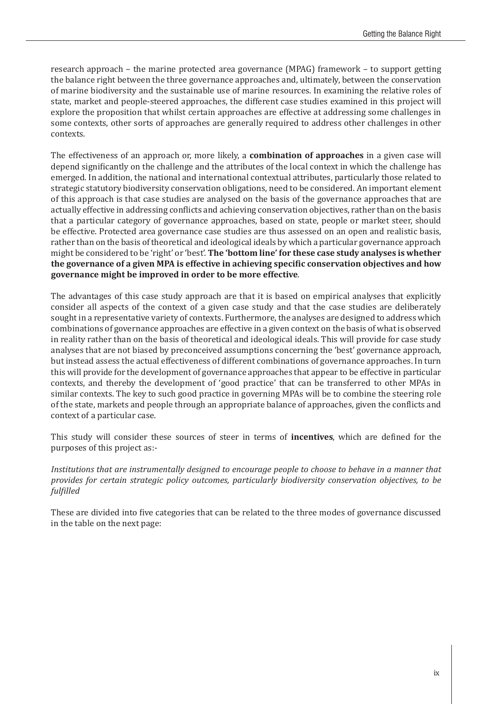research approach – the marine protected area governance (MPAG) framework – to support getting the balance right between the three governance approaches and, ultimately, between the conservation of marine biodiversity and the sustainable use of marine resources. In examining the relative roles of state, market and people-steered approaches, the different case studies examined in this project will explore the proposition that whilst certain approaches are effective at addressing some challenges in some contexts, other sorts of approaches are generally required to address other challenges in other contexts.

The effectiveness of an approach or, more likely, a **combination of approaches** in a given case will depend significantly on the challenge and the attributes of the local context in which the challenge has emerged. In addition, the national and international contextual attributes, particularly those related to strategic statutory biodiversity conservation obligations, need to be considered. An important element of this approach is that case studies are analysed on the basis of the governance approaches that are actually effective in addressing conflicts and achieving conservation objectives, rather than on the basis that a particular category of governance approaches, based on state, people or market steer, should be effective. Protected area governance case studies are thus assessed on an open and realistic basis, rather than on the basis of theoretical and ideological ideals by which a particular governance approach might be considered to be 'right' or 'best'. **The 'bottom line' for these case study analyses is whether the governance of a given MPA is effective in achieving specific conservation objectives and how governance might be improved in order to be more effective**.

The advantages of this case study approach are that it is based on empirical analyses that explicitly consider all aspects of the context of a given case study and that the case studies are deliberately sought in a representative variety of contexts. Furthermore, the analyses are designed to address which combinations of governance approaches are effective in a given context on the basis of what is observed in reality rather than on the basis of theoretical and ideological ideals. This will provide for case study analyses that are not biased by preconceived assumptions concerning the 'best' governance approach, but instead assess the actual effectiveness of different combinations of governance approaches. In turn this will provide for the development of governance approaches that appear to be effective in particular contexts, and thereby the development of 'good practice' that can be transferred to other MPAs in similar contexts. The key to such good practice in governing MPAs will be to combine the steering role of the state, markets and people through an appropriate balance of approaches, given the conflicts and context of a particular case.

This study will consider these sources of steer in terms of **incentives**, which are defined for the purposes of this project as:-

*Institutions that are instrumentally designed to encourage people to choose to behave in a manner that provides for certain strategic policy outcomes, particularly biodiversity conservation objectives, to be fulfilled*

These are divided into five categories that can be related to the three modes of governance discussed in the table on the next page: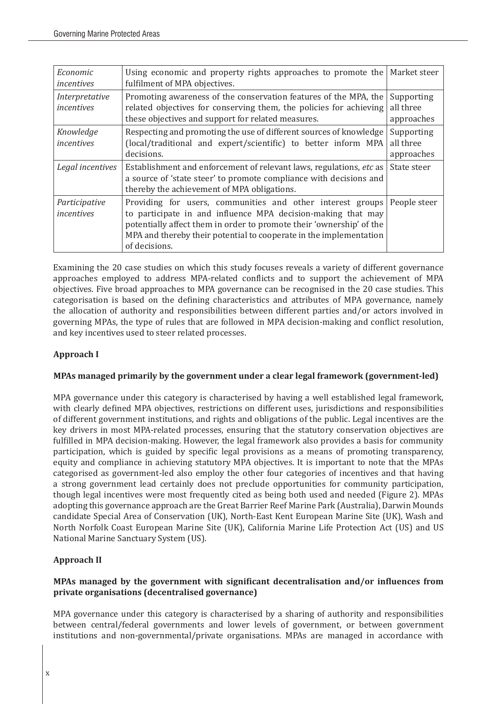| Economic<br>incentives       | Using economic and property rights approaches to promote the<br>fulfilment of MPA objectives.                                                                                                                                                                                             | Market steer                          |
|------------------------------|-------------------------------------------------------------------------------------------------------------------------------------------------------------------------------------------------------------------------------------------------------------------------------------------|---------------------------------------|
| Interpretative<br>incentives | Promoting awareness of the conservation features of the MPA, the<br>related objectives for conserving them, the policies for achieving<br>these objectives and support for related measures.                                                                                              | Supporting<br>all three<br>approaches |
| Knowledge<br>incentives      | Respecting and promoting the use of different sources of knowledge<br>(local/traditional and expert/scientific) to better inform MPA<br>decisions.                                                                                                                                        | Supporting<br>all three<br>approaches |
| Legal incentives             | Establishment and enforcement of relevant laws, regulations, etc as<br>a source of 'state steer' to promote compliance with decisions and<br>thereby the achievement of MPA obligations.                                                                                                  | State steer                           |
| Participative<br>incentives  | Providing for users, communities and other interest groups<br>to participate in and influence MPA decision-making that may<br>potentially affect them in order to promote their 'ownership' of the<br>MPA and thereby their potential to cooperate in the implementation<br>of decisions. | People steer                          |

Examining the 20 case studies on which this study focuses reveals a variety of different governance approaches employed to address MPA-related conflicts and to support the achievement of MPA objectives. Five broad approaches to MPA governance can be recognised in the 20 case studies. This categorisation is based on the defining characteristics and attributes of MPA governance, namely the allocation of authority and responsibilities between different parties and/or actors involved in governing MPAs, the type of rules that are followed in MPA decision-making and conflict resolution, and key incentives used to steer related processes.

# **Approach I**

# **MPAs managed primarily by the government under a clear legal framework (government-led)**

MPA governance under this category is characterised by having a well established legal framework, with clearly defined MPA objectives, restrictions on different uses, jurisdictions and responsibilities of different government institutions, and rights and obligations of the public. Legal incentives are the key drivers in most MPA-related processes, ensuring that the statutory conservation objectives are fulfilled in MPA decision-making. However, the legal framework also provides a basis for community participation, which is guided by specific legal provisions as a means of promoting transparency, equity and compliance in achieving statutory MPA objectives. It is important to note that the MPAs categorised as government-led also employ the other four categories of incentives and that having a strong government lead certainly does not preclude opportunities for community participation, though legal incentives were most frequently cited as being both used and needed (Figure 2). MPAs adopting this governance approach are the Great Barrier Reef Marine Park (Australia), Darwin Mounds candidate Special Area of Conservation (UK), North-East Kent European Marine Site (UK), Wash and North Norfolk Coast European Marine Site (UK), California Marine Life Protection Act (US) and US National Marine Sanctuary System (US).

# **Approach II**

# **MPAs managed by the government with significant decentralisation and/or influences from private organisations (decentralised governance)**

MPA governance under this category is characterised by a sharing of authority and responsibilities between central/federal governments and lower levels of government, or between government institutions and non-governmental/private organisations. MPAs are managed in accordance with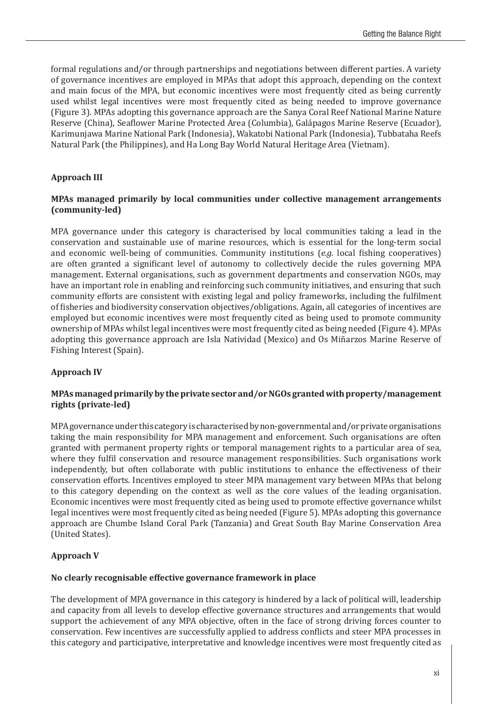formal regulations and/or through partnerships and negotiations between different parties. A variety of governance incentives are employed in MPAs that adopt this approach, depending on the context and main focus of the MPA, but economic incentives were most frequently cited as being currently used whilst legal incentives were most frequently cited as being needed to improve governance (Figure 3). MPAs adopting this governance approach are the Sanya Coral Reef National Marine Nature Reserve (China), Seaflower Marine Protected Area (Columbia), Galápagos Marine Reserve (Ecuador), Karimunjawa Marine National Park (Indonesia), Wakatobi National Park (Indonesia), Tubbataha Reefs Natural Park (the Philippines), and Ha Long Bay World Natural Heritage Area (Vietnam).

#### **Approach III**

#### **MPAs managed primarily by local communities under collective management arrangements (community-led)**

MPA governance under this category is characterised by local communities taking a lead in the conservation and sustainable use of marine resources, which is essential for the long-term social and economic well-being of communities. Community institutions (*e.g.* local fishing cooperatives) are often granted a significant level of autonomy to collectively decide the rules governing MPA management. External organisations, such as government departments and conservation NGOs, may have an important role in enabling and reinforcing such community initiatives, and ensuring that such community efforts are consistent with existing legal and policy frameworks, including the fulfilment of fisheries and biodiversity conservation objectives/obligations. Again, all categories of incentives are employed but economic incentives were most frequently cited as being used to promote community ownership of MPAs whilst legal incentives were most frequently cited as being needed (Figure 4). MPAs adopting this governance approach are Isla Natividad (Mexico) and Os Miñarzos Marine Reserve of Fishing Interest (Spain).

#### **Approach IV**

#### **MPAs managed primarily by the private sector and/or NGOs granted with property/management rights (private-led)**

MPA governance under this category is characterised by non-governmental and/or private organisations taking the main responsibility for MPA management and enforcement. Such organisations are often granted with permanent property rights or temporal management rights to a particular area of sea, where they fulfil conservation and resource management responsibilities. Such organisations work independently, but often collaborate with public institutions to enhance the effectiveness of their conservation efforts. Incentives employed to steer MPA management vary between MPAs that belong to this category depending on the context as well as the core values of the leading organisation. Economic incentives were most frequently cited as being used to promote effective governance whilst legal incentives were most frequently cited as being needed (Figure 5). MPAs adopting this governance approach are Chumbe Island Coral Park (Tanzania) and Great South Bay Marine Conservation Area (United States).

#### **Approach V**

#### **No clearly recognisable effective governance framework in place**

The development of MPA governance in this category is hindered by a lack of political will, leadership and capacity from all levels to develop effective governance structures and arrangements that would support the achievement of any MPA objective, often in the face of strong driving forces counter to conservation. Few incentives are successfully applied to address conflicts and steer MPA processes in this category and participative, interpretative and knowledge incentives were most frequently cited as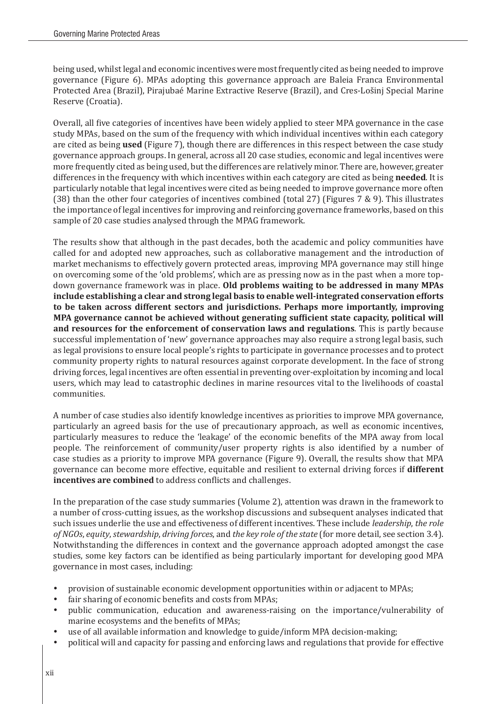being used, whilst legal and economic incentives were most frequently cited as being needed to improve governance (Figure 6). MPAs adopting this governance approach are Baleia Franca Environmental Protected Area (Brazil), Pirajubaé Marine Extractive Reserve (Brazil), and Cres-Lošinj Special Marine Reserve (Croatia).

Overall, all five categories of incentives have been widely applied to steer MPA governance in the case study MPAs, based on the sum of the frequency with which individual incentives within each category are cited as being **used** (Figure 7), though there are differences in this respect between the case study governance approach groups. In general, across all 20 case studies, economic and legal incentives were more frequently cited as being used, but the differences are relatively minor. There are, however, greater differences in the frequency with which incentives within each category are cited as being **needed**. It is particularly notable that legal incentives were cited as being needed to improve governance more often (38) than the other four categories of incentives combined (total 27) (Figures 7 & 9). This illustrates the importance of legal incentives for improving and reinforcing governance frameworks, based on this sample of 20 case studies analysed through the MPAG framework.

The results show that although in the past decades, both the academic and policy communities have called for and adopted new approaches, such as collaborative management and the introduction of market mechanisms to effectively govern protected areas, improving MPA governance may still hinge on overcoming some of the 'old problems', which are as pressing now as in the past when a more topdown governance framework was in place. **Old problems waiting to be addressed in many MPAs include establishing a clear and strong legal basis to enable well-integrated conservation efforts to be taken across different sectors and jurisdictions. Perhaps more importantly, improving MPA governance cannot be achieved without generating sufficient state capacity, political will and resources for the enforcement of conservation laws and regulations**. This is partly because successful implementation of 'new' governance approaches may also require a strong legal basis, such as legal provisions to ensure local people's rights to participate in governance processes and to protect community property rights to natural resources against corporate development. In the face of strong driving forces, legal incentives are often essential in preventing over-exploitation by incoming and local users, which may lead to catastrophic declines in marine resources vital to the livelihoods of coastal communities.

A number of case studies also identify knowledge incentives as priorities to improve MPA governance, particularly an agreed basis for the use of precautionary approach, as well as economic incentives, particularly measures to reduce the 'leakage' of the economic benefits of the MPA away from local people. The reinforcement of community/user property rights is also identified by a number of case studies as a priority to improve MPA governance (Figure 9). Overall, the results show that MPA governance can become more effective, equitable and resilient to external driving forces if **different incentives are combined** to address conflicts and challenges.

In the preparation of the case study summaries (Volume 2), attention was drawn in the framework to a number of cross-cutting issues, as the workshop discussions and subsequent analyses indicated that such issues underlie the use and effectiveness of different incentives. These include *leadership*, *the role of NGOs*, *equity*, *stewardship*, *driving forces*, and *the key role of the state* (for more detail, see section 3.4). Notwithstanding the differences in context and the governance approach adopted amongst the case studies, some key factors can be identified as being particularly important for developing good MPA governance in most cases, including:

- provision of sustainable economic development opportunities within or adjacent to MPAs;
- fair sharing of economic benefits and costs from MPAs;
- public communication, education and awareness-raising on the importance/vulnerability of marine ecosystems and the benefits of MPAs;
- use of all available information and knowledge to guide/inform MPA decision-making;
- political will and capacity for passing and enforcing laws and regulations that provide for effective